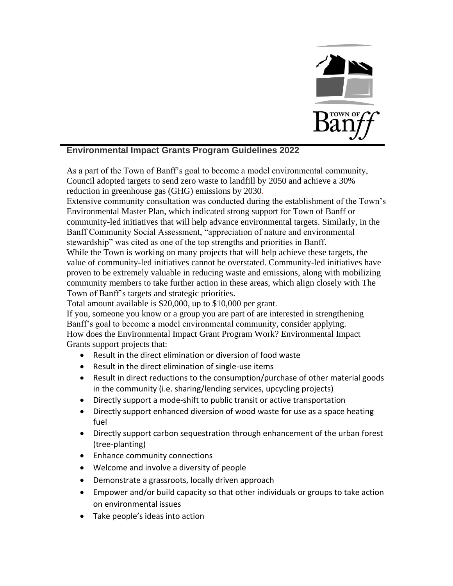

## **Environmental Impact Grants Program Guidelines 2022**

As a part of the Town of Banff's goal to become a model environmental community, Council adopted targets to send zero waste to landfill by 2050 and achieve a 30% reduction in greenhouse gas (GHG) emissions by 2030.

Extensive community consultation was conducted during the establishment of the Town's Environmental Master Plan, which indicated strong support for Town of Banff or community-led initiatives that will help advance environmental targets. Similarly, in the Banff Community Social Assessment, "appreciation of nature and environmental stewardship" was cited as one of the top strengths and priorities in Banff.

While the Town is working on many projects that will help achieve these targets, the value of community-led initiatives cannot be overstated. Community-led initiatives have proven to be extremely valuable in reducing waste and emissions, along with mobilizing community members to take further action in these areas, which align closely with The Town of Banff's targets and strategic priorities.

Total amount available is \$20,000, up to \$10,000 per grant.

If you, someone you know or a group you are part of are interested in strengthening Banff's goal to become a model environmental community, consider applying. How does the Environmental Impact Grant Program Work? Environmental Impact Grants support projects that:

- Result in the direct elimination or diversion of food waste
- Result in the direct elimination of single-use items
- Result in direct reductions to the consumption/purchase of other material goods in the community (i.e. sharing/lending services, upcycling projects)
- Directly support a mode-shift to public transit or active transportation
- Directly support enhanced diversion of wood waste for use as a space heating fuel
- Directly support carbon sequestration through enhancement of the urban forest (tree-planting)
- Enhance community connections
- Welcome and involve a diversity of people
- Demonstrate a grassroots, locally driven approach
- Empower and/or build capacity so that other individuals or groups to take action on environmental issues
- Take people's ideas into action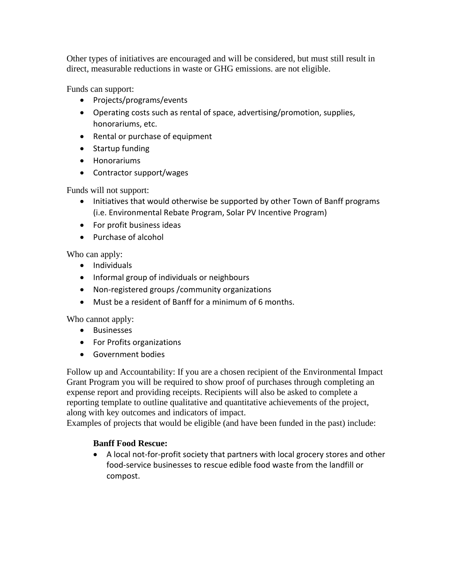Other types of initiatives are encouraged and will be considered, but must still result in direct, measurable reductions in waste or GHG emissions. are not eligible.

Funds can support:

- Projects/programs/events
- Operating costs such as rental of space, advertising/promotion, supplies, honorariums, etc.
- Rental or purchase of equipment
- Startup funding
- Honorariums
- Contractor support/wages

Funds will not support:

- Initiatives that would otherwise be supported by other Town of Banff programs (i.e. Environmental Rebate Program, Solar PV Incentive Program)
- For profit business ideas
- Purchase of alcohol

Who can apply:

- Individuals
- Informal group of individuals or neighbours
- Non-registered groups /community organizations
- Must be a resident of Banff for a minimum of 6 months.

Who cannot apply:

- Businesses
- For Profits organizations
- Government bodies

Follow up and Accountability: If you are a chosen recipient of the Environmental Impact Grant Program you will be required to show proof of purchases through completing an expense report and providing receipts. Recipients will also be asked to complete a reporting template to outline qualitative and quantitative achievements of the project, along with key outcomes and indicators of impact.

Examples of projects that would be eligible (and have been funded in the past) include:

## **Banff Food Rescue:**

• A local not-for-profit society that partners with local grocery stores and other food-service businesses to rescue edible food waste from the landfill or compost.